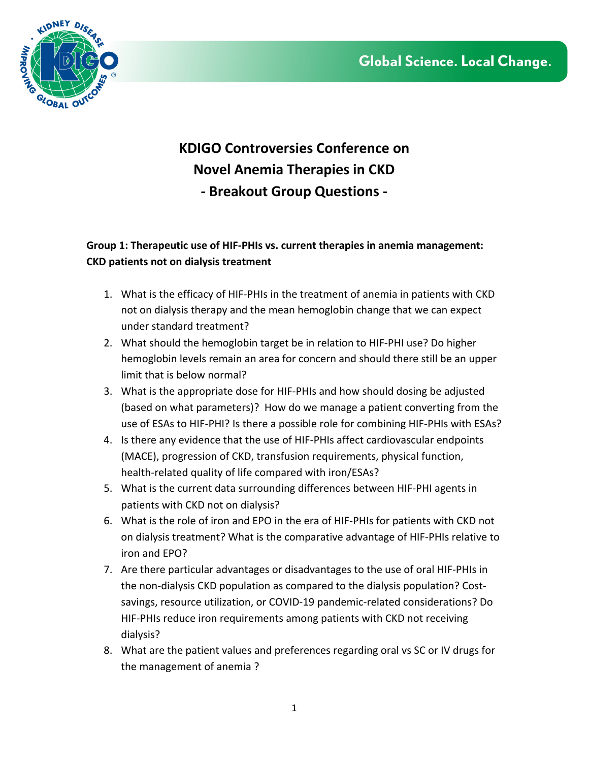

## **KDIGO Controversies Conference on Novel Anemia Therapies in CKD - Breakout Group Questions -**

## **Group 1: Therapeutic use of HIF-PHIs vs. current therapies in anemia management: CKD patients not on dialysis treatment**

- 1. What is the efficacy of HIF-PHIs in the treatment of anemia in patients with CKD not on dialysis therapy and the mean hemoglobin change that we can expect under standard treatment?
- 2. What should the hemoglobin target be in relation to HIF-PHI use? Do higher hemoglobin levels remain an area for concern and should there still be an upper limit that is below normal?
- 3. What is the appropriate dose for HIF-PHIs and how should dosing be adjusted (based on what parameters)? How do we manage a patient converting from the use of ESAs to HIF-PHI? Is there a possible role for combining HIF-PHIs with ESAs?
- 4. Is there any evidence that the use of HIF-PHIs affect cardiovascular endpoints (MACE), progression of CKD, transfusion requirements, physical function, health-related quality of life compared with iron/ESAs?
- 5. What is the current data surrounding differences between HIF-PHI agents in patients with CKD not on dialysis?
- 6. What is the role of iron and EPO in the era of HIF-PHIs for patients with CKD not on dialysis treatment? What is the comparative advantage of HIF-PHIs relative to iron and EPO?
- 7. Are there particular advantages or disadvantages to the use of oral HIF-PHIs in the non-dialysis CKD population as compared to the dialysis population? Costsavings, resource utilization, or COVID-19 pandemic-related considerations? Do HIF-PHIs reduce iron requirements among patients with CKD not receiving dialysis?
- 8. What are the patient values and preferences regarding oral vs SC or IV drugs for the management of anemia ?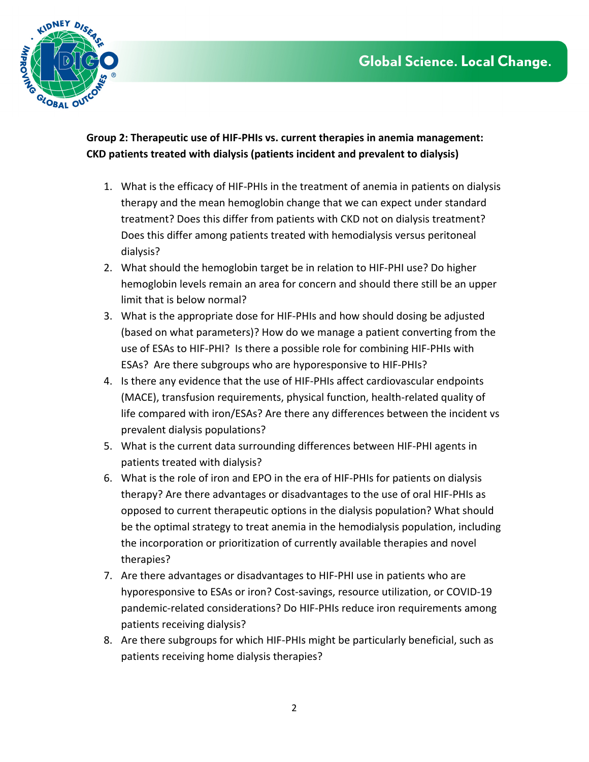

**Group 2: Therapeutic use of HIF-PHIs vs. current therapies in anemia management: CKD patients treated with dialysis (patients incident and prevalent to dialysis)** 

- 1. What is the efficacy of HIF-PHIs in the treatment of anemia in patients on dialysis therapy and the mean hemoglobin change that we can expect under standard treatment? Does this differ from patients with CKD not on dialysis treatment? Does this differ among patients treated with hemodialysis versus peritoneal dialysis?
- 2. What should the hemoglobin target be in relation to HIF-PHI use? Do higher hemoglobin levels remain an area for concern and should there still be an upper limit that is below normal?
- 3. What is the appropriate dose for HIF-PHIs and how should dosing be adjusted (based on what parameters)? How do we manage a patient converting from the use of ESAs to HIF-PHI? Is there a possible role for combining HIF-PHIs with ESAs? Are there subgroups who are hyporesponsive to HIF-PHIs?
- 4. Is there any evidence that the use of HIF-PHIs affect cardiovascular endpoints (MACE), transfusion requirements, physical function, health-related quality of life compared with iron/ESAs? Are there any differences between the incident vs prevalent dialysis populations?
- 5. What is the current data surrounding differences between HIF-PHI agents in patients treated with dialysis?
- 6. What is the role of iron and EPO in the era of HIF-PHIs for patients on dialysis therapy? Are there advantages or disadvantages to the use of oral HIF-PHIs as opposed to current therapeutic options in the dialysis population? What should be the optimal strategy to treat anemia in the hemodialysis population, including the incorporation or prioritization of currently available therapies and novel therapies?
- 7. Are there advantages or disadvantages to HIF-PHI use in patients who are hyporesponsive to ESAs or iron? Cost-savings, resource utilization, or COVID-19 pandemic-related considerations? Do HIF-PHIs reduce iron requirements among patients receiving dialysis?
- 8. Are there subgroups for which HIF-PHIs might be particularly beneficial, such as patients receiving home dialysis therapies?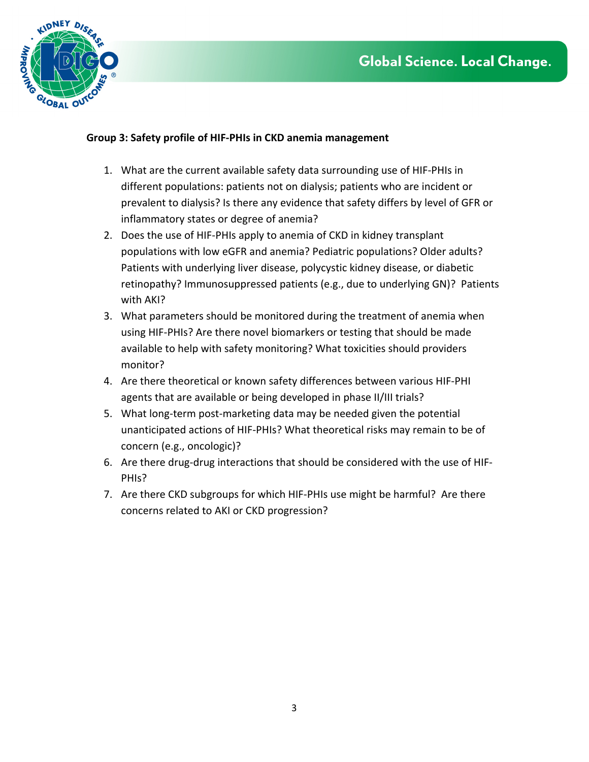

## **Group 3: Safety profile of HIF-PHIs in CKD anemia management**

- 1. What are the current available safety data surrounding use of HIF-PHIs in different populations: patients not on dialysis; patients who are incident or prevalent to dialysis? Is there any evidence that safety differs by level of GFR or inflammatory states or degree of anemia?
- 2. Does the use of HIF-PHIs apply to anemia of CKD in kidney transplant populations with low eGFR and anemia? Pediatric populations? Older adults? Patients with underlying liver disease, polycystic kidney disease, or diabetic retinopathy? Immunosuppressed patients (e.g., due to underlying GN)? Patients with AKI?
- 3. What parameters should be monitored during the treatment of anemia when using HIF-PHIs? Are there novel biomarkers or testing that should be made available to help with safety monitoring? What toxicities should providers monitor?
- 4. Are there theoretical or known safety differences between various HIF-PHI agents that are available or being developed in phase II/III trials?
- 5. What long-term post-marketing data may be needed given the potential unanticipated actions of HIF-PHIs? What theoretical risks may remain to be of concern (e.g., oncologic)?
- 6. Are there drug-drug interactions that should be considered with the use of HIF-PHIs?
- 7. Are there CKD subgroups for which HIF-PHIs use might be harmful? Are there concerns related to AKI or CKD progression?